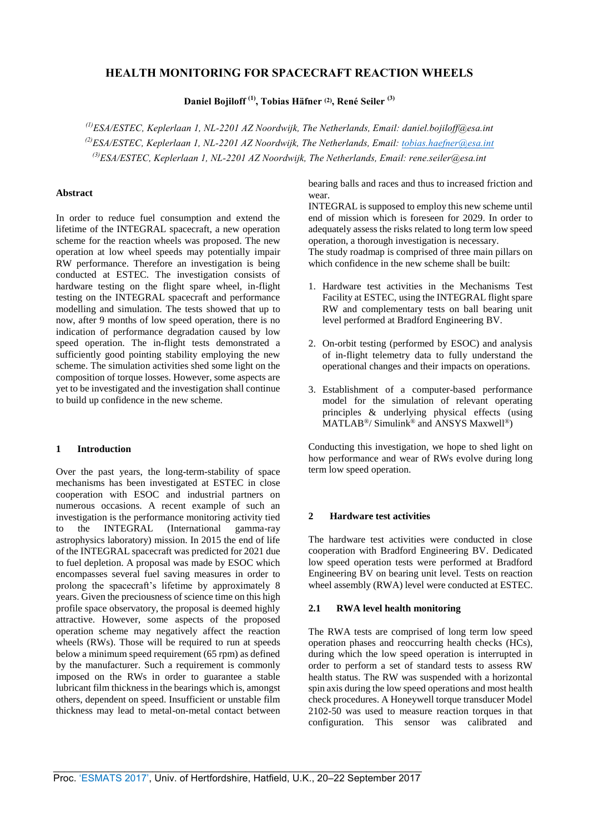# **HEALTH MONITORING FOR SPACECRAFT REACTION WHEELS**

**Daniel Bojiloff (1), Tobias Häfner (2), René Seiler (3)**

*(1)ESA/ESTEC, Keplerlaan 1, NL-2201 AZ Noordwijk, The Netherlands, Email: daniel.bojiloff@esa.int (2)ESA/ESTEC, Keplerlaan 1, NL-2201 AZ Noordwijk, The Netherlands, Email: tobias.haefner@esa.int (3)ESA/ESTEC, Keplerlaan 1, NL-2201 AZ Noordwijk, The Netherlands, Email: rene.seiler@esa.int*

## **Abstract**

In order to reduce fuel consumption and extend the lifetime of the INTEGRAL spacecraft, a new operation scheme for the reaction wheels was proposed. The new operation at low wheel speeds may potentially impair RW performance. Therefore an investigation is being conducted at ESTEC. The investigation consists of hardware testing on the flight spare wheel, in-flight testing on the INTEGRAL spacecraft and performance modelling and simulation. The tests showed that up to now, after 9 months of low speed operation, there is no indication of performance degradation caused by low speed operation. The in-flight tests demonstrated a sufficiently good pointing stability employing the new scheme. The simulation activities shed some light on the composition of torque losses. However, some aspects are yet to be investigated and the investigation shall continue to build up confidence in the new scheme.

## **1 Introduction**

Over the past years, the long-term-stability of space mechanisms has been investigated at ESTEC in close cooperation with ESOC and industrial partners on numerous occasions. A recent example of such an investigation is the performance monitoring activity tied<br>to the INTEGRAL (International gamma-ray to the INTEGRAL (International gamma-ray astrophysics laboratory) mission. In 2015 the end of life of the INTEGRAL spacecraft was predicted for 2021 due to fuel depletion. A proposal was made by ESOC which encompasses several fuel saving measures in order to prolong the spacecraft's lifetime by approximately 8 years. Given the preciousness of science time on this high profile space observatory, the proposal is deemed highly attractive. However, some aspects of the proposed operation scheme may negatively affect the reaction wheels (RWs). Those will be required to run at speeds below a minimum speed requirement (65 rpm) as defined by the manufacturer. Such a requirement is commonly imposed on the RWs in order to guarantee a stable lubricant film thickness in the bearings which is, amongst others, dependent on speed. Insufficient or unstable film thickness may lead to metal-on-metal contact between bearing balls and races and thus to increased friction and wear.

INTEGRAL is supposed to employ this new scheme until end of mission which is foreseen for 2029. In order to adequately assess the risks related to long term low speed operation, a thorough investigation is necessary. The study roadmap is comprised of three main pillars on which confidence in the new scheme shall be built:

- 1. Hardware test activities in the Mechanisms Test Facility at ESTEC, using the INTEGRAL flight spare RW and complementary tests on ball bearing unit level performed at Bradford Engineering BV.
- 2. On-orbit testing (performed by ESOC) and analysis of in-flight telemetry data to fully understand the operational changes and their impacts on operations.
- 3. Establishment of a computer-based performance model for the simulation of relevant operating principles & underlying physical effects (using MATLAB®/ Simulink® and ANSYS Maxwell®)

Conducting this investigation, we hope to shed light on how performance and wear of RWs evolve during long term low speed operation.

## **2 Hardware test activities**

The hardware test activities were conducted in close cooperation with Bradford Engineering BV. Dedicated low speed operation tests were performed at Bradford Engineering BV on bearing unit level. Tests on reaction wheel assembly (RWA) level were conducted at ESTEC.

## **2.1 RWA level health monitoring**

The RWA tests are comprised of long term low speed operation phases and reoccurring health checks (HCs), during which the low speed operation is interrupted in order to perform a set of standard tests to assess RW health status. The RW was suspended with a horizontal spin axis during the low speed operations and most health check procedures. A Honeywell torque transducer Model 2102-50 was used to measure reaction torques in that configuration. This sensor was calibrated and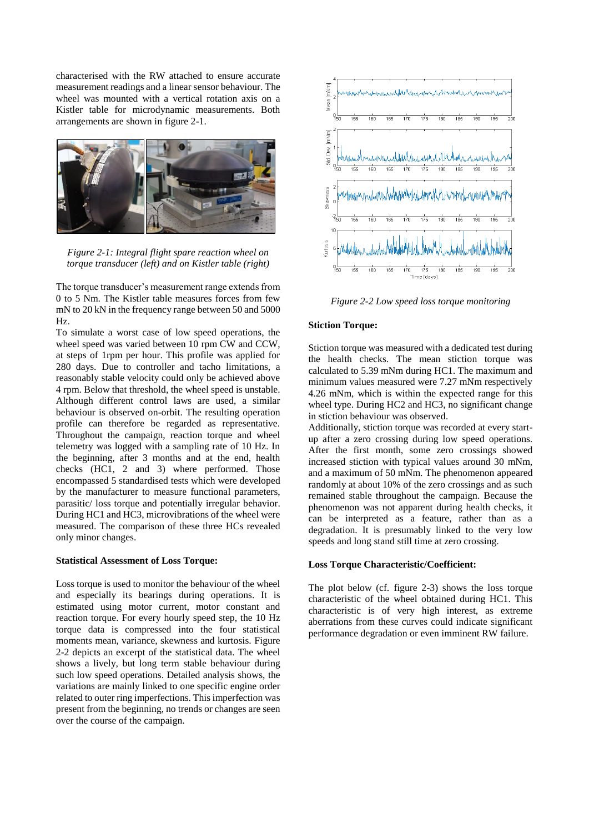characterised with the RW attached to ensure accurate measurement readings and a linear sensor behaviour. The wheel was mounted with a vertical rotation axis on a Kistler table for microdynamic measurements. Both arrangements are shown in figure 2-1.



*Figure 2-1: Integral flight spare reaction wheel on torque transducer (left) and on Kistler table (right)* 

The torque transducer's measurement range extends from 0 to 5 Nm. The Kistler table measures forces from few mN to 20 kN in the frequency range between 50 and 5000 Hz.

To simulate a worst case of low speed operations, the wheel speed was varied between 10 rpm CW and CCW, at steps of 1rpm per hour. This profile was applied for 280 days. Due to controller and tacho limitations, a reasonably stable velocity could only be achieved above 4 rpm. Below that threshold, the wheel speed is unstable. Although different control laws are used, a similar behaviour is observed on-orbit. The resulting operation profile can therefore be regarded as representative. Throughout the campaign, reaction torque and wheel telemetry was logged with a sampling rate of 10 Hz. In the beginning, after 3 months and at the end, health checks (HC1, 2 and 3) where performed. Those encompassed 5 standardised tests which were developed by the manufacturer to measure functional parameters, parasitic/ loss torque and potentially irregular behavior. During HC1 and HC3, microvibrations of the wheel were measured. The comparison of these three HCs revealed only minor changes.

## **Statistical Assessment of Loss Torque:**

Loss torque is used to monitor the behaviour of the wheel and especially its bearings during operations. It is estimated using motor current, motor constant and reaction torque. For every hourly speed step, the 10 Hz torque data is compressed into the four statistical moments mean, variance, skewness and kurtosis. Figure 2-2 depicts an excerpt of the statistical data. The wheel shows a lively, but long term stable behaviour during such low speed operations. Detailed analysis shows, the variations are mainly linked to one specific engine order related to outer ring imperfections. This imperfection was present from the beginning, no trends or changes are seen over the course of the campaign.



*Figure 2-2 Low speed loss torque monitoring* 

## **Stiction Torque:**

Stiction torque was measured with a dedicated test during the health checks. The mean stiction torque was calculated to 5.39 mNm during HC1. The maximum and minimum values measured were 7.27 mNm respectively 4.26 mNm, which is within the expected range for this wheel type. During HC2 and HC3, no significant change in stiction behaviour was observed.

Additionally, stiction torque was recorded at every startup after a zero crossing during low speed operations. After the first month, some zero crossings showed increased stiction with typical values around 30 mNm, and a maximum of 50 mNm. The phenomenon appeared randomly at about 10% of the zero crossings and as such remained stable throughout the campaign. Because the phenomenon was not apparent during health checks, it can be interpreted as a feature, rather than as a degradation. It is presumably linked to the very low speeds and long stand still time at zero crossing.

### **Loss Torque Characteristic/Coefficient:**

The plot below (cf. figure 2-3) shows the loss torque characteristic of the wheel obtained during HC1. This characteristic is of very high interest, as extreme aberrations from these curves could indicate significant performance degradation or even imminent RW failure.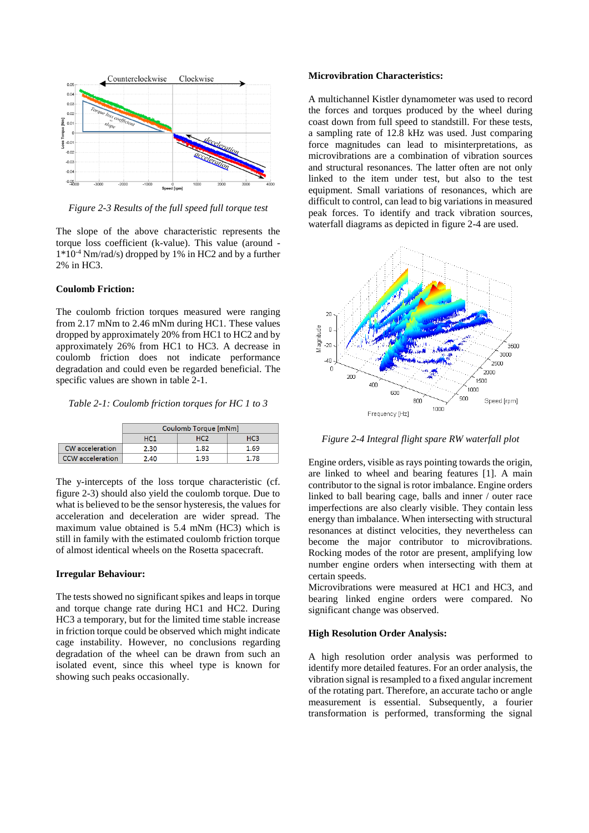

*Figure 2-3 Results of the full speed full torque test*

The slope of the above characteristic represents the torque loss coefficient (k-value). This value (around - 1\*10-4 Nm/rad/s) dropped by 1% in HC2 and by a further 2% in HC3.

## **Coulomb Friction:**

The coulomb friction torques measured were ranging from 2.17 mNm to 2.46 mNm during HC1. These values dropped by approximately 20% from HC1 to HC2 and by approximately 26% from HC1 to HC3. A decrease in coulomb friction does not indicate performance degradation and could even be regarded beneficial. The specific values are shown in table 2-1.

*Table 2-1: Coulomb friction torques for HC 1 to 3* 

|                         | Coulomb Torque [mNm] |      |                 |  |
|-------------------------|----------------------|------|-----------------|--|
|                         | HC <sub>1</sub>      | нсэ  | HC <sub>3</sub> |  |
| CW acceleration         | 2.30                 | 1.82 | 1.69            |  |
| <b>CCW</b> acceleration | 2.40                 | 1.93 | 178             |  |

The y-intercepts of the loss torque characteristic (cf. figure 2-3) should also yield the coulomb torque. Due to what is believed to be the sensor hysteresis, the values for acceleration and deceleration are wider spread. The maximum value obtained is 5.4 mNm (HC3) which is still in family with the estimated coulomb friction torque of almost identical wheels on the Rosetta spacecraft.

#### **Irregular Behaviour:**

The tests showed no significant spikes and leaps in torque and torque change rate during HC1 and HC2. During HC3 a temporary, but for the limited time stable increase in friction torque could be observed which might indicate cage instability. However, no conclusions regarding degradation of the wheel can be drawn from such an isolated event, since this wheel type is known for showing such peaks occasionally.

#### **Microvibration Characteristics:**

A multichannel Kistler dynamometer was used to record the forces and torques produced by the wheel during coast down from full speed to standstill. For these tests, a sampling rate of 12.8 kHz was used. Just comparing force magnitudes can lead to misinterpretations, as microvibrations are a combination of vibration sources and structural resonances. The latter often are not only linked to the item under test, but also to the test equipment. Small variations of resonances, which are difficult to control, can lead to big variations in measured peak forces. To identify and track vibration sources, waterfall diagrams as depicted in figure 2-4 are used.



*Figure 2-4 Integral flight spare RW waterfall plot* 

Engine orders, visible as rays pointing towards the origin, are linked to wheel and bearing features [1]. A main contributor to the signal is rotor imbalance. Engine orders linked to ball bearing cage, balls and inner / outer race imperfections are also clearly visible. They contain less energy than imbalance. When intersecting with structural resonances at distinct velocities, they nevertheless can become the major contributor to microvibrations. Rocking modes of the rotor are present, amplifying low number engine orders when intersecting with them at certain speeds.

Microvibrations were measured at HC1 and HC3, and bearing linked engine orders were compared. No significant change was observed.

## **High Resolution Order Analysis:**

A high resolution order analysis was performed to identify more detailed features. For an order analysis, the vibration signal is resampled to a fixed angular increment of the rotating part. Therefore, an accurate tacho or angle measurement is essential. Subsequently, a fourier transformation is performed, transforming the signal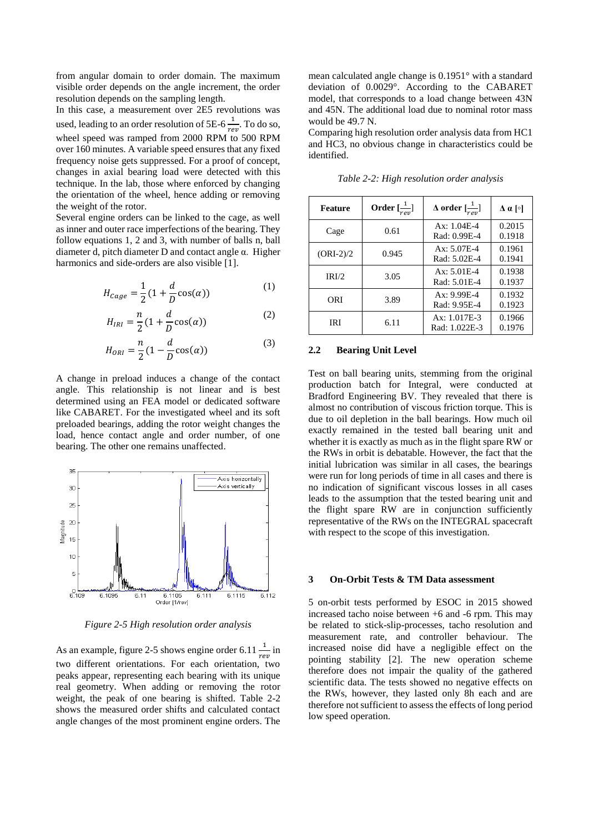from angular domain to order domain. The maximum visible order depends on the angle increment, the order resolution depends on the sampling length.

In this case, a measurement over 2E5 revolutions was used, leading to an order resolution of 5E-6  $\frac{1}{rev}$ . To do so, wheel speed was ramped from 2000 RPM to 500 RPM over 160 minutes. A variable speed ensures that any fixed frequency noise gets suppressed. For a proof of concept, changes in axial bearing load were detected with this technique. In the lab, those where enforced by changing the orientation of the wheel, hence adding or removing the weight of the rotor.

Several engine orders can be linked to the cage, as well as inner and outer race imperfections of the bearing. They follow equations 1, 2 and 3, with number of balls n, ball diameter d, pitch diameter D and contact angle α. Higher harmonics and side-orders are also visible [1].

$$
H_{cage} = \frac{1}{2} \left( 1 + \frac{d}{D} \cos(\alpha) \right) \tag{1}
$$

$$
H_{IRI} = \frac{n}{2} \left( 1 + \frac{d}{D} \cos(\alpha) \right) \tag{2}
$$

$$
H_{ORI} = \frac{n}{2} \left( 1 - \frac{d}{D} \cos(\alpha) \right) \tag{3}
$$

A change in preload induces a change of the contact angle. This relationship is not linear and is best determined using an FEA model or dedicated software like CABARET. For the investigated wheel and its soft preloaded bearings, adding the rotor weight changes the load, hence contact angle and order number, of one bearing. The other one remains unaffected.



*Figure 2-5 High resolution order analysis* 

As an example, figure 2-5 shows engine order 6.11  $\frac{1}{rev}$  in two different orientations. For each orientation, two peaks appear, representing each bearing with its unique real geometry. When adding or removing the rotor weight, the peak of one bearing is shifted. Table 2-2 shows the measured order shifts and calculated contact angle changes of the most prominent engine orders. The

mean calculated angle change is 0.1951° with a standard deviation of 0.0029°. According to the CABARET model, that corresponds to a load change between 43N and 45N. The additional load due to nominal rotor mass would be 49.7 N.

Comparing high resolution order analysis data from HC1 and HC3, no obvious change in characteristics could be identified.

| <b>Feature</b> | Order $\left[\frac{1}{\cdots}\right]$ | $\Delta$ order $\left[\frac{1}{rev}\right]$ | $\Delta$ α [o]   |
|----------------|---------------------------------------|---------------------------------------------|------------------|
| Cage           | 0.61                                  | Ax: 1.04E-4<br>Rad: 0.99E-4                 | 0.2015<br>0.1918 |
| $(ORI-2)/2$    | 0.945                                 | $Ax: 5.07E-4$<br>Rad: 5.02E-4               | 0.1961<br>0.1941 |
| IRI/2          | 3.05                                  | Ax: 5.01E-4<br>Rad: 5.01E-4                 | 0.1938<br>0.1937 |
| ORI            | 3.89                                  | $Ax: 9.99E-4$<br>Rad: 9.95E-4               | 0.1932<br>0.1923 |
| IRI            | 6.11                                  | $Ax: 1.017E-3$<br>Rad: 1.022E-3             | 0.1966<br>0.1976 |

*Table 2-2: High resolution order analysis* 

## **2.2 Bearing Unit Level**

Test on ball bearing units, stemming from the original production batch for Integral, were conducted at Bradford Engineering BV. They revealed that there is almost no contribution of viscous friction torque. This is due to oil depletion in the ball bearings. How much oil exactly remained in the tested ball bearing unit and whether it is exactly as much as in the flight spare RW or the RWs in orbit is debatable. However, the fact that the initial lubrication was similar in all cases, the bearings were run for long periods of time in all cases and there is no indication of significant viscous losses in all cases leads to the assumption that the tested bearing unit and the flight spare RW are in conjunction sufficiently representative of the RWs on the INTEGRAL spacecraft with respect to the scope of this investigation.

#### **3 On-Orbit Tests & TM Data assessment**

5 on-orbit tests performed by ESOC in 2015 showed increased tacho noise between +6 and -6 rpm. This may be related to stick-slip-processes, tacho resolution and measurement rate, and controller behaviour. The increased noise did have a negligible effect on the pointing stability [2]. The new operation scheme therefore does not impair the quality of the gathered scientific data. The tests showed no negative effects on the RWs, however, they lasted only 8h each and are therefore not sufficient to assess the effects of long period low speed operation.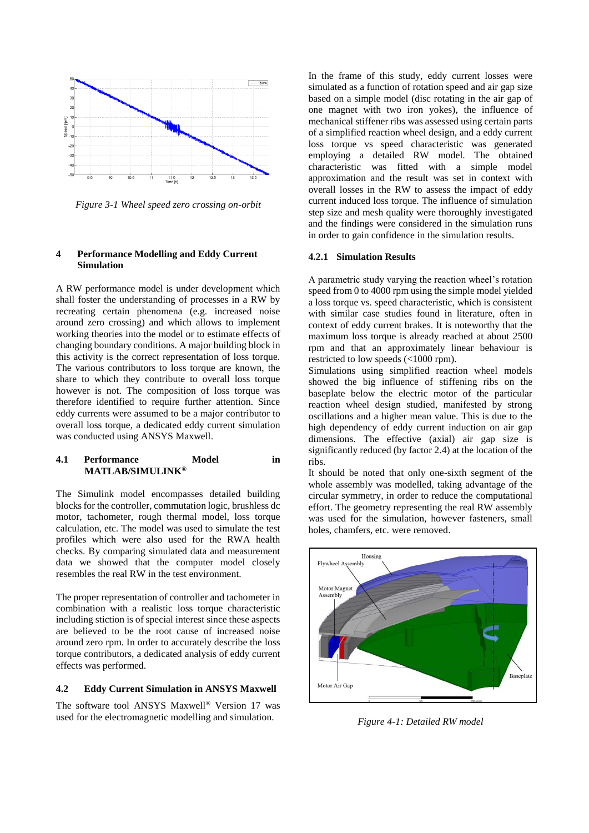

*Figure 3-1 Wheel speed zero crossing on-orbit* 

#### **4 Performance Modelling and Eddy Current Simulation**

A RW performance model is under development which shall foster the understanding of processes in a RW by recreating certain phenomena (e.g. increased noise around zero crossing) and which allows to implement working theories into the model or to estimate effects of changing boundary conditions. A major building block in this activity is the correct representation of loss torque. The various contributors to loss torque are known, the share to which they contribute to overall loss torque however is not. The composition of loss torque was therefore identified to require further attention. Since eddy currents were assumed to be a major contributor to overall loss torque, a dedicated eddy current simulation was conducted using ANSYS Maxwell.

## **4.1 Performance Model in MATLAB/SIMULINK®**

The Simulink model encompasses detailed building blocks for the controller, commutation logic, brushless dc motor, tachometer, rough thermal model, loss torque calculation, etc. The model was used to simulate the test profiles which were also used for the RWA health checks. By comparing simulated data and measurement data we showed that the computer model closely resembles the real RW in the test environment.

The proper representation of controller and tachometer in combination with a realistic loss torque characteristic including stiction is of special interest since these aspects are believed to be the root cause of increased noise around zero rpm. In order to accurately describe the loss torque contributors, a dedicated analysis of eddy current effects was performed.

## **4.2 Eddy Current Simulation in ANSYS Maxwell**

The software tool ANSYS Maxwell® Version 17 was used for the electromagnetic modelling and simulation.

In the frame of this study, eddy current losses were simulated as a function of rotation speed and air gap size based on a simple model (disc rotating in the air gap of one magnet with two iron yokes), the influence of mechanical stiffener ribs was assessed using certain parts of a simplified reaction wheel design, and a eddy current loss torque vs speed characteristic was generated employing a detailed RW model. The obtained characteristic was fitted with a simple model approximation and the result was set in context with overall losses in the RW to assess the impact of eddy current induced loss torque. The influence of simulation step size and mesh quality were thoroughly investigated and the findings were considered in the simulation runs in order to gain confidence in the simulation results.

### **4.2.1 Simulation Results**

A parametric study varying the reaction wheel's rotation speed from 0 to 4000 rpm using the simple model yielded a loss torque vs. speed characteristic, which is consistent with similar case studies found in literature, often in context of eddy current brakes. It is noteworthy that the maximum loss torque is already reached at about 2500 rpm and that an approximately linear behaviour is restricted to low speeds (<1000 rpm).

Simulations using simplified reaction wheel models showed the big influence of stiffening ribs on the baseplate below the electric motor of the particular reaction wheel design studied, manifested by strong oscillations and a higher mean value. This is due to the high dependency of eddy current induction on air gap dimensions. The effective (axial) air gap size is significantly reduced (by factor 2.4) at the location of the ribs.

It should be noted that only one-sixth segment of the whole assembly was modelled, taking advantage of the circular symmetry, in order to reduce the computational effort. The geometry representing the real RW assembly was used for the simulation, however fasteners, small holes, chamfers, etc. were removed.



*Figure 4-1: Detailed RW model*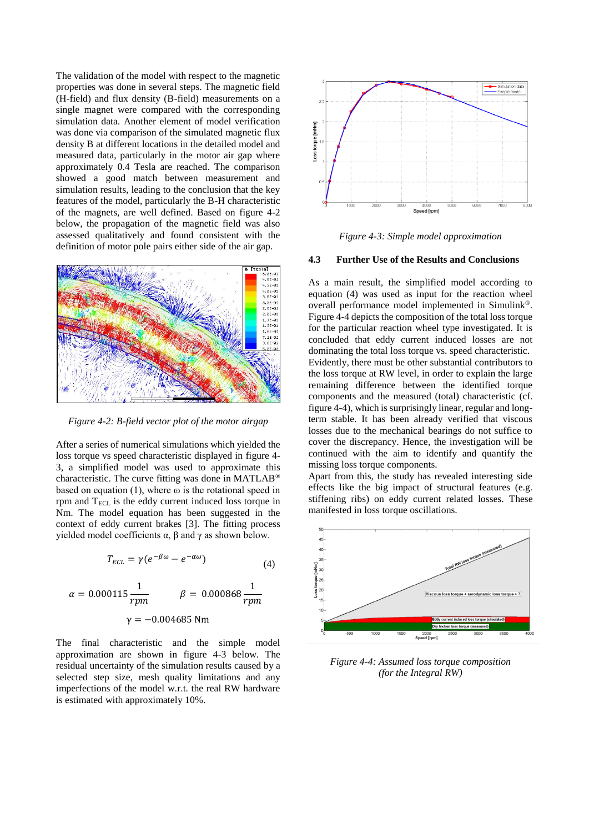The validation of the model with respect to the magnetic properties was done in several steps. The magnetic field (H-field) and flux density (B-field) measurements on a single magnet were compared with the corresponding simulation data. Another element of model verification was done via comparison of the simulated magnetic flux density B at different locations in the detailed model and measured data, particularly in the motor air gap where approximately 0.4 Tesla are reached. The comparison showed a good match between measurement and simulation results, leading to the conclusion that the key features of the model, particularly the B-H characteristic of the magnets, are well defined. Based on figure 4-2 below, the propagation of the magnetic field was also assessed qualitatively and found consistent with the definition of motor pole pairs either side of the air gap.



*Figure 4-2: B-field vector plot of the motor airgap* 

After a series of numerical simulations which yielded the loss torque vs speed characteristic displayed in figure 4- 3, a simplified model was used to approximate this characteristic. The curve fitting was done in MATLAB® based on equation (1), where  $\omega$  is the rotational speed in rpm and  $T_{\text{ECL}}$  is the eddy current induced loss torque in Nm. The model equation has been suggested in the context of eddy current brakes [3]. The fitting process yielded model coefficients  $\alpha$ ,  $\beta$  and  $\gamma$  as shown below.

$$
T_{ECL} = \gamma (e^{-\beta \omega} - e^{-\alpha \omega})
$$
\n(4)

$$
\alpha = 0.000115 \frac{1}{rpm} \qquad \beta = 0.000868 \frac{1}{rpm}
$$

$$
\gamma = -0.004685 \text{ Nm}
$$

The final characteristic and the simple model approximation are shown in figure 4-3 below. The residual uncertainty of the simulation results caused by a selected step size, mesh quality limitations and any imperfections of the model w.r.t. the real RW hardware is estimated with approximately 10%.



*Figure 4-3: Simple model approximation* 

## **4.3 Further Use of the Results and Conclusions**

As a main result, the simplified model according to equation (4) was used as input for the reaction wheel overall performance model implemented in Simulink®. Figure 4-4 depicts the composition of the total loss torque for the particular reaction wheel type investigated. It is concluded that eddy current induced losses are not dominating the total loss torque vs. speed characteristic. Evidently, there must be other substantial contributors to the loss torque at RW level, in order to explain the large remaining difference between the identified torque components and the measured (total) characteristic (cf. figure 4-4), which is surprisingly linear, regular and longterm stable. It has been already verified that viscous losses due to the mechanical bearings do not suffice to cover the discrepancy. Hence, the investigation will be continued with the aim to identify and quantify the missing loss torque components.

Apart from this, the study has revealed interesting side effects like the big impact of structural features (e.g. stiffening ribs) on eddy current related losses. These manifested in loss torque oscillations.



*Figure 4-4: Assumed loss torque composition (for the Integral RW)*